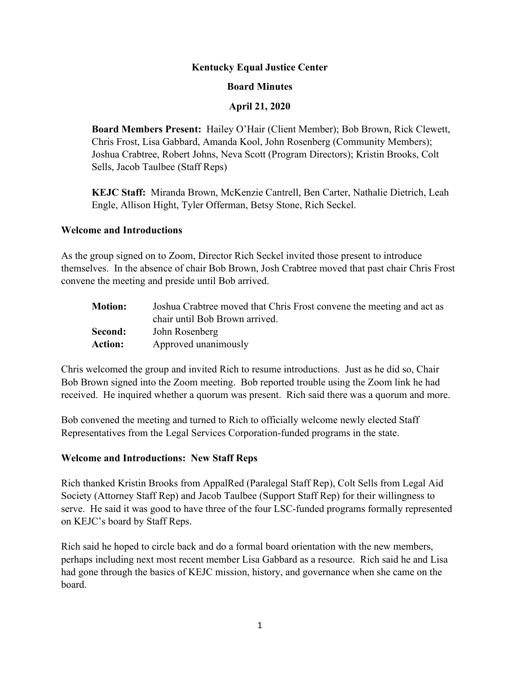#### **Kentucky Equal Justice Center**

#### **Board Minutes**

#### **April 21, 2020**

**Board Members Present:** Hailey O'Hair (Client Member); Bob Brown, Rick Clewett, Chris Frost, Lisa Gabbard, Amanda Kool, John Rosenberg (Community Members); Joshua Crabtree, Robert Johns, Neva Scott (Program Directors); Kristin Brooks, Colt Sells, Jacob Taulbee (Staff Reps)

**KEJC Staff:** Miranda Brown, McKenzie Cantrell, Ben Carter, Nathalie Dietrich, Leah Engle, Allison Hight, Tyler Offerman, Betsy Stone, Rich Seckel.

#### **Welcome and Introductions**

As the group signed on to Zoom, Director Rich Seckel invited those present to introduce themselves. In the absence of chair Bob Brown, Josh Crabtree moved that past chair Chris Frost convene the meeting and preside until Bob arrived.

| <b>Motion:</b> | Joshua Crabtree moved that Chris Frost convene the meeting and act as |
|----------------|-----------------------------------------------------------------------|
|                | chair until Bob Brown arrived.                                        |
| Second:        | John Rosenberg                                                        |
| <b>Action:</b> | Approved unanimously                                                  |

Chris welcomed the group and invited Rich to resume introductions. Just as he did so, Chair Bob Brown signed into the Zoom meeting. Bob reported trouble using the Zoom link he had received. He inquired whether a quorum was present. Rich said there was a quorum and more.

Bob convened the meeting and turned to Rich to officially welcome newly elected Staff Representatives from the Legal Services Corporation-funded programs in the state.

## **Welcome and Introductions: New Staff Reps**

Rich thanked Kristin Brooks from AppalRed (Paralegal Staff Rep), Colt Sells from Legal Aid Society (Attorney Staff Rep) and Jacob Taulbee (Support Staff Rep) for their willingness to serve. He said it was good to have three of the four LSC-funded programs formally represented on KEJC's board by Staff Reps.

Rich said he hoped to circle back and do a formal board orientation with the new members, perhaps including next most recent member Lisa Gabbard as a resource. Rich said he and Lisa had gone through the basics of KEJC mission, history, and governance when she came on the board.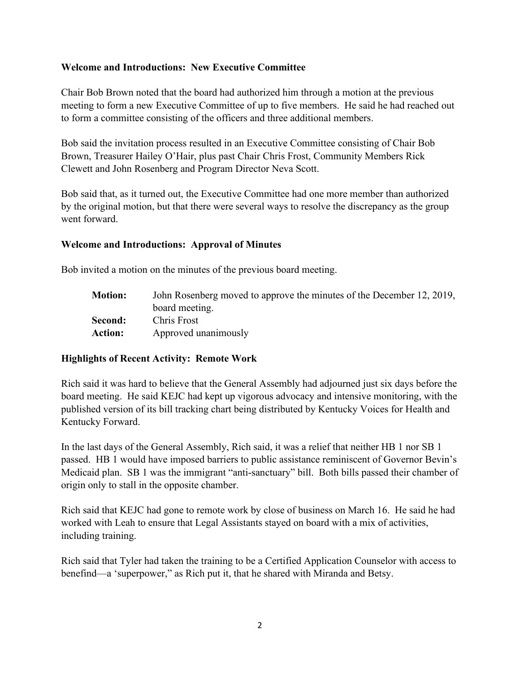## **Welcome and Introductions: New Executive Committee**

Chair Bob Brown noted that the board had authorized him through a motion at the previous meeting to form a new Executive Committee of up to five members. He said he had reached out to form a committee consisting of the officers and three additional members.

Bob said the invitation process resulted in an Executive Committee consisting of Chair Bob Brown, Treasurer Hailey O'Hair, plus past Chair Chris Frost, Community Members Rick Clewett and John Rosenberg and Program Director Neva Scott.

Bob said that, as it turned out, the Executive Committee had one more member than authorized by the original motion, but that there were several ways to resolve the discrepancy as the group went forward.

#### **Welcome and Introductions: Approval of Minutes**

Bob invited a motion on the minutes of the previous board meeting.

**Motion:** John Rosenberg moved to approve the minutes of the December 12, 2019, board meeting. **Second:** Chris Frost **Action:** Approved unanimously

#### **Highlights of Recent Activity: Remote Work**

Rich said it was hard to believe that the General Assembly had adjourned just six days before the board meeting. He said KEJC had kept up vigorous advocacy and intensive monitoring, with the published version of its bill tracking chart being distributed by Kentucky Voices for Health and Kentucky Forward.

In the last days of the General Assembly, Rich said, it was a relief that neither HB 1 nor SB 1 passed. HB 1 would have imposed barriers to public assistance reminiscent of Governor Bevin's Medicaid plan. SB 1 was the immigrant "anti-sanctuary" bill. Both bills passed their chamber of origin only to stall in the opposite chamber.

Rich said that KEJC had gone to remote work by close of business on March 16. He said he had worked with Leah to ensure that Legal Assistants stayed on board with a mix of activities, including training.

Rich said that Tyler had taken the training to be a Certified Application Counselor with access to benefind—a 'superpower," as Rich put it, that he shared with Miranda and Betsy.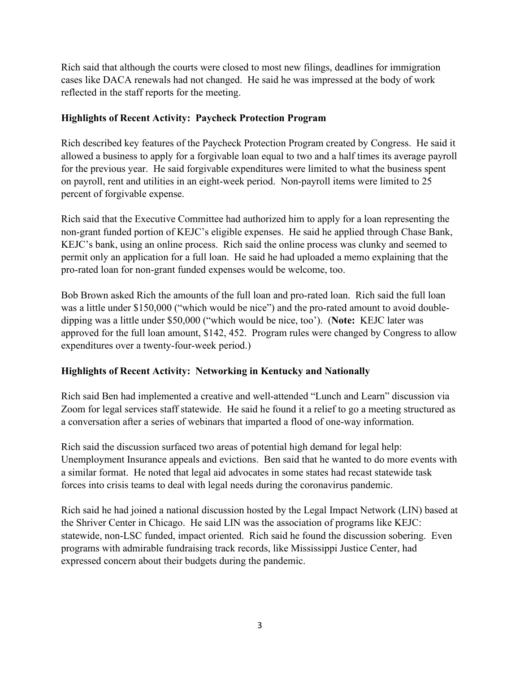Rich said that although the courts were closed to most new filings, deadlines for immigration cases like DACA renewals had not changed. He said he was impressed at the body of work reflected in the staff reports for the meeting.

## **Highlights of Recent Activity: Paycheck Protection Program**

Rich described key features of the Paycheck Protection Program created by Congress. He said it allowed a business to apply for a forgivable loan equal to two and a half times its average payroll for the previous year. He said forgivable expenditures were limited to what the business spent on payroll, rent and utilities in an eight-week period. Non-payroll items were limited to 25 percent of forgivable expense.

Rich said that the Executive Committee had authorized him to apply for a loan representing the non-grant funded portion of KEJC's eligible expenses. He said he applied through Chase Bank, KEJC's bank, using an online process. Rich said the online process was clunky and seemed to permit only an application for a full loan. He said he had uploaded a memo explaining that the pro-rated loan for non-grant funded expenses would be welcome, too.

Bob Brown asked Rich the amounts of the full loan and pro-rated loan. Rich said the full loan was a little under \$150,000 ("which would be nice") and the pro-rated amount to avoid doubledipping was a little under \$50,000 ("which would be nice, too'). (**Note:** KEJC later was approved for the full loan amount, \$142, 452. Program rules were changed by Congress to allow expenditures over a twenty-four-week period.)

# **Highlights of Recent Activity: Networking in Kentucky and Nationally**

Rich said Ben had implemented a creative and well-attended "Lunch and Learn" discussion via Zoom for legal services staff statewide. He said he found it a relief to go a meeting structured as a conversation after a series of webinars that imparted a flood of one-way information.

Rich said the discussion surfaced two areas of potential high demand for legal help: Unemployment Insurance appeals and evictions. Ben said that he wanted to do more events with a similar format. He noted that legal aid advocates in some states had recast statewide task forces into crisis teams to deal with legal needs during the coronavirus pandemic.

Rich said he had joined a national discussion hosted by the Legal Impact Network (LIN) based at the Shriver Center in Chicago. He said LIN was the association of programs like KEJC: statewide, non-LSC funded, impact oriented. Rich said he found the discussion sobering. Even programs with admirable fundraising track records, like Mississippi Justice Center, had expressed concern about their budgets during the pandemic.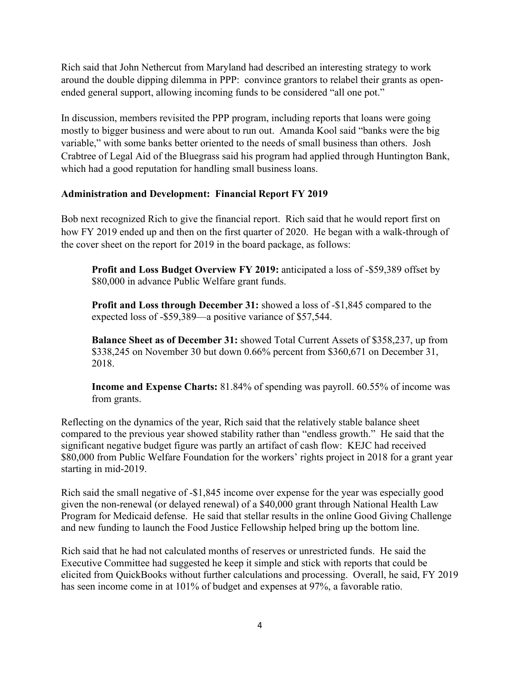Rich said that John Nethercut from Maryland had described an interesting strategy to work around the double dipping dilemma in PPP: convince grantors to relabel their grants as openended general support, allowing incoming funds to be considered "all one pot."

In discussion, members revisited the PPP program, including reports that loans were going mostly to bigger business and were about to run out. Amanda Kool said "banks were the big variable," with some banks better oriented to the needs of small business than others. Josh Crabtree of Legal Aid of the Bluegrass said his program had applied through Huntington Bank, which had a good reputation for handling small business loans.

# **Administration and Development: Financial Report FY 2019**

Bob next recognized Rich to give the financial report. Rich said that he would report first on how FY 2019 ended up and then on the first quarter of 2020. He began with a walk-through of the cover sheet on the report for 2019 in the board package, as follows:

**Profit and Loss Budget Overview FY 2019:** anticipated a loss of -\$59,389 offset by \$80,000 in advance Public Welfare grant funds.

**Profit and Loss through December 31:** showed a loss of -\$1,845 compared to the expected loss of -\$59,389—a positive variance of \$57,544.

**Balance Sheet as of December 31:** showed Total Current Assets of \$358,237, up from \$338,245 on November 30 but down 0.66% percent from \$360,671 on December 31, 2018.

**Income and Expense Charts:** 81.84% of spending was payroll. 60.55% of income was from grants.

Reflecting on the dynamics of the year, Rich said that the relatively stable balance sheet compared to the previous year showed stability rather than "endless growth." He said that the significant negative budget figure was partly an artifact of cash flow: KEJC had received \$80,000 from Public Welfare Foundation for the workers' rights project in 2018 for a grant year starting in mid-2019.

Rich said the small negative of -\$1,845 income over expense for the year was especially good given the non-renewal (or delayed renewal) of a \$40,000 grant through National Health Law Program for Medicaid defense. He said that stellar results in the online Good Giving Challenge and new funding to launch the Food Justice Fellowship helped bring up the bottom line.

Rich said that he had not calculated months of reserves or unrestricted funds. He said the Executive Committee had suggested he keep it simple and stick with reports that could be elicited from QuickBooks without further calculations and processing. Overall, he said, FY 2019 has seen income come in at 101% of budget and expenses at 97%, a favorable ratio.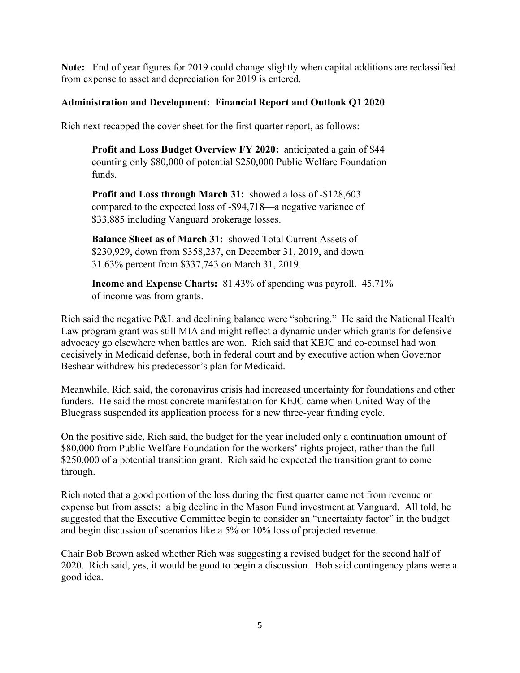**Note:** End of year figures for 2019 could change slightly when capital additions are reclassified from expense to asset and depreciation for 2019 is entered.

## **Administration and Development: Financial Report and Outlook Q1 2020**

Rich next recapped the cover sheet for the first quarter report, as follows:

**Profit and Loss Budget Overview FY 2020:** anticipated a gain of \$44 counting only \$80,000 of potential \$250,000 Public Welfare Foundation funds.

**Profit and Loss through March 31:** showed a loss of -\$128,603 compared to the expected loss of -\$94,718—a negative variance of \$33,885 including Vanguard brokerage losses.

**Balance Sheet as of March 31:** showed Total Current Assets of \$230,929, down from \$358,237, on December 31, 2019, and down 31.63% percent from \$337,743 on March 31, 2019.

**Income and Expense Charts:** 81.43% of spending was payroll. 45.71% of income was from grants.

Rich said the negative P&L and declining balance were "sobering." He said the National Health Law program grant was still MIA and might reflect a dynamic under which grants for defensive advocacy go elsewhere when battles are won. Rich said that KEJC and co-counsel had won decisively in Medicaid defense, both in federal court and by executive action when Governor Beshear withdrew his predecessor's plan for Medicaid.

Meanwhile, Rich said, the coronavirus crisis had increased uncertainty for foundations and other funders. He said the most concrete manifestation for KEJC came when United Way of the Bluegrass suspended its application process for a new three-year funding cycle.

On the positive side, Rich said, the budget for the year included only a continuation amount of \$80,000 from Public Welfare Foundation for the workers' rights project, rather than the full \$250,000 of a potential transition grant. Rich said he expected the transition grant to come through.

Rich noted that a good portion of the loss during the first quarter came not from revenue or expense but from assets: a big decline in the Mason Fund investment at Vanguard. All told, he suggested that the Executive Committee begin to consider an "uncertainty factor" in the budget and begin discussion of scenarios like a 5% or 10% loss of projected revenue.

Chair Bob Brown asked whether Rich was suggesting a revised budget for the second half of 2020. Rich said, yes, it would be good to begin a discussion. Bob said contingency plans were a good idea.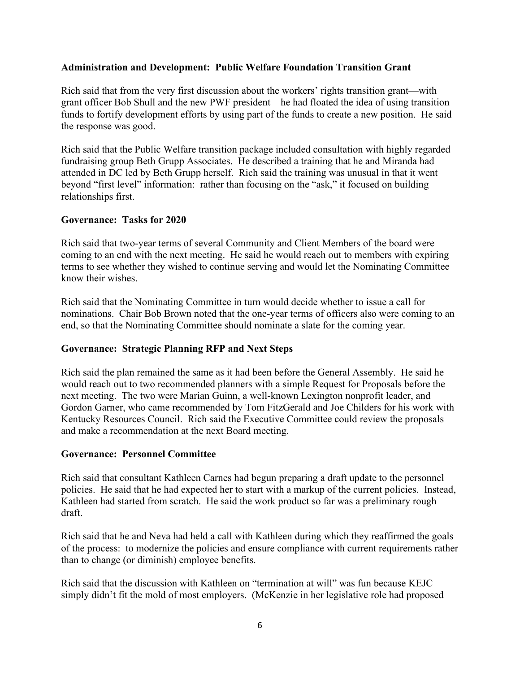#### **Administration and Development: Public Welfare Foundation Transition Grant**

Rich said that from the very first discussion about the workers' rights transition grant—with grant officer Bob Shull and the new PWF president—he had floated the idea of using transition funds to fortify development efforts by using part of the funds to create a new position. He said the response was good.

Rich said that the Public Welfare transition package included consultation with highly regarded fundraising group Beth Grupp Associates. He described a training that he and Miranda had attended in DC led by Beth Grupp herself. Rich said the training was unusual in that it went beyond "first level" information: rather than focusing on the "ask," it focused on building relationships first.

#### **Governance: Tasks for 2020**

Rich said that two-year terms of several Community and Client Members of the board were coming to an end with the next meeting. He said he would reach out to members with expiring terms to see whether they wished to continue serving and would let the Nominating Committee know their wishes.

Rich said that the Nominating Committee in turn would decide whether to issue a call for nominations. Chair Bob Brown noted that the one-year terms of officers also were coming to an end, so that the Nominating Committee should nominate a slate for the coming year.

#### **Governance: Strategic Planning RFP and Next Steps**

Rich said the plan remained the same as it had been before the General Assembly. He said he would reach out to two recommended planners with a simple Request for Proposals before the next meeting. The two were Marian Guinn, a well-known Lexington nonprofit leader, and Gordon Garner, who came recommended by Tom FitzGerald and Joe Childers for his work with Kentucky Resources Council. Rich said the Executive Committee could review the proposals and make a recommendation at the next Board meeting.

#### **Governance: Personnel Committee**

Rich said that consultant Kathleen Carnes had begun preparing a draft update to the personnel policies. He said that he had expected her to start with a markup of the current policies. Instead, Kathleen had started from scratch. He said the work product so far was a preliminary rough draft.

Rich said that he and Neva had held a call with Kathleen during which they reaffirmed the goals of the process: to modernize the policies and ensure compliance with current requirements rather than to change (or diminish) employee benefits.

Rich said that the discussion with Kathleen on "termination at will" was fun because KEJC simply didn't fit the mold of most employers. (McKenzie in her legislative role had proposed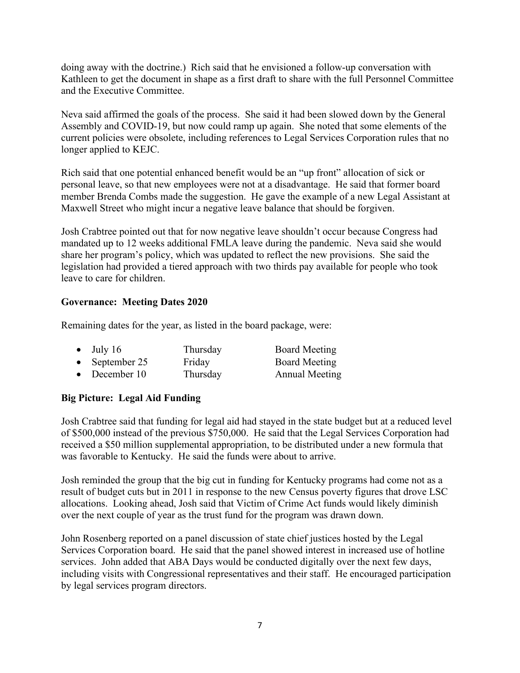doing away with the doctrine.) Rich said that he envisioned a follow-up conversation with Kathleen to get the document in shape as a first draft to share with the full Personnel Committee and the Executive Committee.

Neva said affirmed the goals of the process. She said it had been slowed down by the General Assembly and COVID-19, but now could ramp up again. She noted that some elements of the current policies were obsolete, including references to Legal Services Corporation rules that no longer applied to KEJC.

Rich said that one potential enhanced benefit would be an "up front" allocation of sick or personal leave, so that new employees were not at a disadvantage. He said that former board member Brenda Combs made the suggestion. He gave the example of a new Legal Assistant at Maxwell Street who might incur a negative leave balance that should be forgiven.

Josh Crabtree pointed out that for now negative leave shouldn't occur because Congress had mandated up to 12 weeks additional FMLA leave during the pandemic. Neva said she would share her program's policy, which was updated to reflect the new provisions. She said the legislation had provided a tiered approach with two thirds pay available for people who took leave to care for children.

## **Governance: Meeting Dates 2020**

Remaining dates for the year, as listed in the board package, were:

| $\bullet$ July 16 | Thursday | <b>Board Meeting</b>  |
|-------------------|----------|-----------------------|
| • September 25    | Friday   | Board Meeting         |
| • December $10$   | Thursday | <b>Annual Meeting</b> |

## **Big Picture: Legal Aid Funding**

Josh Crabtree said that funding for legal aid had stayed in the state budget but at a reduced level of \$500,000 instead of the previous \$750,000. He said that the Legal Services Corporation had received a \$50 million supplemental appropriation, to be distributed under a new formula that was favorable to Kentucky. He said the funds were about to arrive.

Josh reminded the group that the big cut in funding for Kentucky programs had come not as a result of budget cuts but in 2011 in response to the new Census poverty figures that drove LSC allocations. Looking ahead, Josh said that Victim of Crime Act funds would likely diminish over the next couple of year as the trust fund for the program was drawn down.

John Rosenberg reported on a panel discussion of state chief justices hosted by the Legal Services Corporation board. He said that the panel showed interest in increased use of hotline services. John added that ABA Days would be conducted digitally over the next few days, including visits with Congressional representatives and their staff. He encouraged participation by legal services program directors.